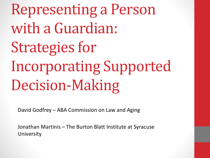Representing a Person with a Guardian: Strategies for Incorporating Supported Decision-Making

David Godfrey – ABA Commission on Law and Aging

Jonathan Martinis – The Burton Blatt Institute at Syracuse **University**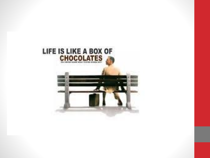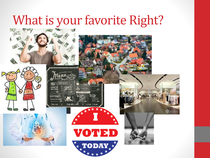## What is your favorite Right?













**O** ExaseA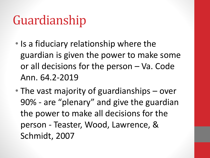# Guardianship

- Is a fiduciary relationship where the guardian is given the power to make some or all decisions for the person – Va. Code Ann. 64.2-2019
- The vast majority of guardianships over 90% - are "plenary" and give the guardian the power to make all decisions for the person - Teaster, Wood, Lawrence, & Schmidt, 2007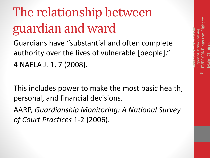## National Resource Center for Supported Decision-Making EVERYONE has the Right to Make Choices

ഥ

# The relationship between guardian and ward

Guardians have "substantial and often complete authority over the lives of vulnerable [people]." 4 NAELA J. 1, 7 (2008).

This includes power to make the most basic health, personal, and financial decisions.

AARP, *Guardianship Monitoring: A National Survey of Court Practices* 1-2 (2006).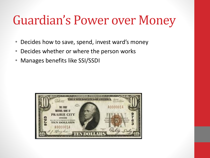## Guardian's Power over Money

- Decides how to save, spend, invest ward's money
- Decides whether or where the person works
- Manages benefits like SSI/SSDI

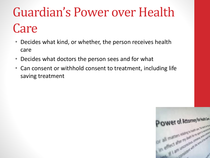# Guardian's Power over Health **Care**

- Decides what kind, or whether, the person receives health care
- Decides what doctors the person sees and for what
- Can consent or withhold consent to treatment, including life saving treatment

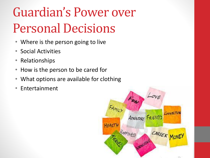# Guardian's Power over Personal Decisions

- Where is the person going to live
- Social Activities
- Relationships
- How is the person to be cared for
- What options are available for clothing
- Entertainment

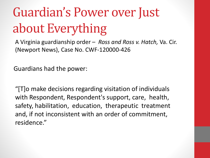# Guardian's Power over Just about Everything

A Virginia guardianship order – *Ross and Ross v. Hatch,* Va. Cir. (Newport News), Case No. CWF-120000-426

Guardians had the power:

"[T]o make decisions regarding visitation of individuals with Respondent, Respondent's support, care, health, safety, habilitation, education, therapeutic treatment and, if not inconsistent with an order of commitment, residence."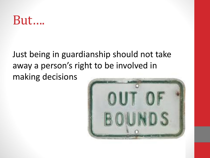### But….

### Just being in guardianship should not take away a person's right to be involved in making decisions

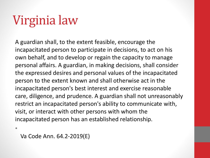# Virginia law

A guardian shall, to the extent feasible, encourage the incapacitated person to participate in decisions, to act on his own behalf, and to develop or regain the capacity to manage personal affairs. A guardian, in making decisions, shall consider the expressed desires and personal values of the incapacitated person to the extent known and shall otherwise act in the incapacitated person's best interest and exercise reasonable care, diligence, and prudence. A guardian shall not unreasonably restrict an incapacitated person's ability to communicate with, visit, or interact with other persons with whom the incapacitated person has an established relationship.

•

Va Code Ann. 64.2-2019(E)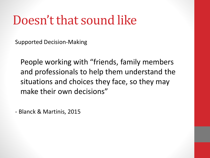## Doesn't that sound like

Supported Decision-Making

People working with "friends, family members and professionals to help them understand the situations and choices they face, so they may make their own decisions"

- Blanck & Martinis, 2015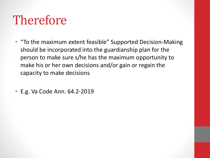# Therefore

- "To the maximum extent feasible" Supported Decision-Making should be incorporated into the guardianship plan for the person to make sure s/he has the maximum opportunity to make his or her own decisions and/or gain or regain the capacity to make decisions
- E.g. Va Code Ann. 64.2-2019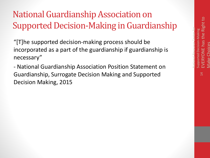14

National Resource Center for

### National Guardianship Association on Supported Decision-Making in Guardianship

"[T]he supported decision-making process should be incorporated as a part of the guardianship if guardianship is necessary"

- National Guardianship Association Position Statement on Guardianship, Surrogate Decision Making and Supported Decision Making, 2015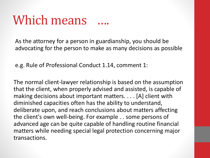## Which means

As the attorney for a person in guardianship, you should be advocating for the person to make as many decisions as possible

e.g. Rule of Professional Conduct 1.14, comment 1:

The normal client-lawyer relationship is based on the assumption that the client, when properly advised and assisted, is capable of making decisions about important matters. . . . [A] client with diminished capacities often has the ability to understand, deliberate upon, and reach conclusions about matters affecting the client's own well-being. For example . . some persons of advanced age can be quite capable of handling routine financial matters while needing special legal protection concerning major transactions.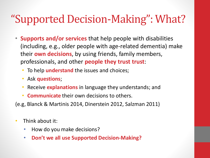### "Supported Decision-Making": What?

- **Supports and/or services** that help people with disabilities (including, e.g., older people with age-related dementia) make their **own decisions**, by using friends, family members, professionals, and other **people they trust trust**:
	- To help **understand** the issues and choices;
	- Ask **questions**;
	- Receive **explanations** in language they understands; and
	- **Communicate** their own decisions to others.

(e.g, Blanck & Martinis 2014, Dinerstein 2012, Salzman 2011)

- Think about it:
	- How do you make decisions?
	- **Don't we all use Supported Decision-Making?**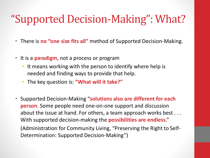### "Supported Decision-Making": What?

- There is **no "one size fits all"** method of Supported Decision-Making.
- It is a **paradigm**, not a process or program
	- It means working with the person to identify where help is needed and finding ways to provide that help.
	- The key question is: **"What will it take?"**
- Supported Decision-Making "**solutions also are different for each person**. Some people need one-on-one support and discussion about the issue at hand. For others, a team approach works best . . . With supported decision-making the **possibilities are endless**." (Administration for Community Living, "Preserving the Right to Self-Determination: Supported Decision-Making")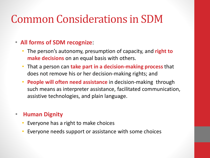### Common Considerations in SDM

### • **All forms of SDM recognize**:

- The person's autonomy, presumption of capacity, and **right to make decisions** on an equal basis with others.
- That a person can **take part in a decision-making process** that does not remove his or her decision-making rights; and
- **People will often need assistance** in decision-making through such means as interpreter assistance, facilitated communication, assistive technologies, and plain language.

### • **Human Dignity**

- Everyone has a right to make choices
- Everyone needs support or assistance with some choices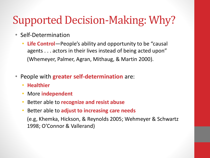### Supported Decision-Making: Why?

- Self-Determination
	- **Life Control**—People's ability and opportunity to be "causal agents . . . actors in their lives instead of being acted upon" (Whemeyer, Palmer, Agran, Mithaug, & Martin 2000).
- People with **greater self-determination** are:
	- **Healthier**
	- More **independent**
	- Better able to **recognize and resist abuse**
	- Better able to **adjust to increasing care needs**

(e.g, Khemka, Hickson, & Reynolds 2005; Wehmeyer & Schwartz 1998; O'Connor & Vallerand)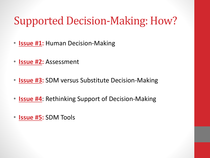### Supported Decision-Making: How?

- **Issue #1:** Human Decision-Making
- **Issue #2:** Assessment
- **Issue #3:** SDM versus Substitute Decision-Making
- **Issue #4**: Rethinking Support of Decision-Making
- **Issue #5:** SDM Tools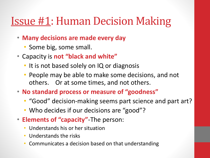### **Issue #1: Human Decision Making**

- **Many decisions are made every day**
	- Some big, some small.
- Capacity is **not "black and white"**
	- It is not based solely on IQ or diagnosis
	- People may be able to make some decisions, and not others. Or at some times, and not others.
- **No standard process or measure of "goodness"**
	- "Good" decision-making seems part science and part art?
	- Who decides if our decisions are "good"?
- **Elements of "capacity"**-The person:
	- Understands his or her situation
	- Understands the risks
	- Communicates a decision based on that understanding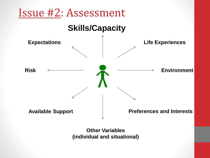

**Other Variables (individual and situational)**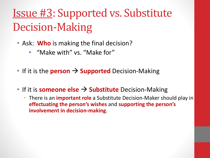## Issue #3: Supported vs. Substitute Decision-Making

- Ask: **Who** is making the final decision?
	- "Make with" vs. "Make for"
- If it is the **person** → **Supported** Decision-Making
- If it is **someone else** → **Substitute** Decision-Making
	- There is an **important role** a Substitute Decision-Maker should play in **effectuating the person's wishes** and **supporting the person's involvement in decision-making**.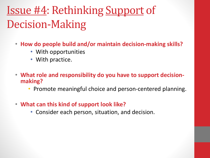## Issue #4: Rethinking Support of Decision-Making

- **How do people build and/or maintain decision-making skills?**
	- With opportunities
	- With practice.
- **What role and responsibility do you have to support decisionmaking?**
	- Promote meaningful choice and person-centered planning.
- **What can this kind of support look like?**
	- Consider each person, situation, and decision.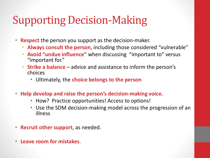### Supporting Decision-Making

- **Respect** the person you support as the decision-maker.
	- **Always consult the person**, including those considered "vulnerable"
	- **Avoid "undue influence"** when discussing "important to" versus "important for."
	- **Strike a balance**  advice and assistance to inform the person's choices
		- Ultimately, the **choice belongs to the person**
- **Help develop and raise the person's decision-making voice.**
	- How? Practice opportunities! Access to options!
	- Use the SDM decision-making model across the progression of an illness
- **Recruit other support**, as needed.
- **Leave room for mistakes**.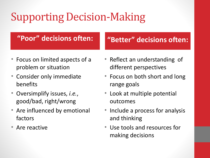## Supporting Decision-Making

### **"Poor" decisions often: "Better" decisions often:**

- Focus on limited aspects of a problem or situation
- Consider only immediate benefits
- Oversimplify issues, *i.e.*, good/bad, right/wrong
- Are influenced by emotional factors
- Are reactive

- Reflect an understanding of different perspectives
- Focus on both short and long range goals
- Look at multiple potential outcomes
- Include a process for analysis and thinking
- Use tools and resources for making decisions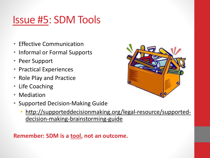### Issue #5: SDM Tools

- Effective Communication
- Informal or Formal Supports
- Peer Support
- Practical Experiences
- Role Play and Practice
- Life Coaching
- Mediation
- Supported Decision-Making Guide
	- http://supporteddecisionmaking.org/legal-resource/supporteddecision-making-brainstorming-guide

### **Remember: SDM is a tool, not an outcome.**

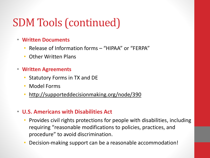### SDM Tools (continued)

- **Written Documents**
	- Release of Information forms "HIPAA" or "FERPA"
	- Other Written Plans
- **Written Agreements**
	- Statutory Forms in TX and DE
	- Model Forms
	- http://supporteddecisionmaking.org/node/390

### • **U.S. Americans with Disabilities Act**

- Provides civil rights protections for people with disabilities, including requiring "reasonable modifications to policies, practices, and procedure" to avoid discrimination.
- Decision-making support can be a reasonable accommodation!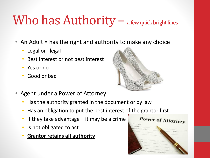# Who has  $\text{Authority}$  – a few quick bright lines

- An Adult = has the right and authority to make any choice
	- Legal or illegal
	- Best interest or not best interest
	- Yes or no
	- Good or bad



- Agent under a Power of Attorney
	- Has the authority granted in the document or by law
	- Has an obligation to put the best interest of the grantor first
	- If they take advantage  $-$  it may be a crime
	- Is not obligated to act
	- **Grantor retains all authority**

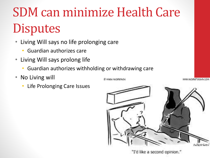# SDM can minimize Health Care **Disputes**

- Living Will says no life prolonging care
	- Guardian authorizes care
- Living Will says prolong life
	- Guardian authorizes withholding or withdrawing care
- No Living will
	- Life Prolonging Care Issues



"I'd like a second opinion."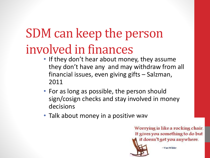# SDM can keep the person involved in finances

- If they don't hear about money, they assume they don't have any and may withdraw from all financial issues, even giving gifts – Salzman, 2011
- For as long as possible, the person should sign/cosign checks and stay involved in money decisions
- Talk about money in a positive wav

Worrying is like a rocking chair. It gives you something to do but it doesn't get you anywhere.



-Van Wilder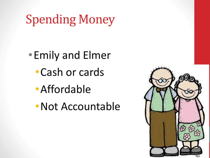# Spending Money

•Emily and Elmer •Cash or cards •Affordable



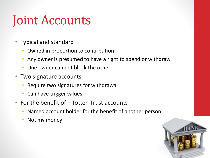# Joint Accounts

- Typical and standard
	- Owned in proportion to contribution
	- Any owner is presumed to have a right to spend or withdraw
	- One owner can not block the other
- Two signature accounts
	- Require two signatures for withdrawal
	- Can have trigger values
- For the benefit of Totten Trust accounts
	- Named account holder for the benefit of another person
	- Not my money

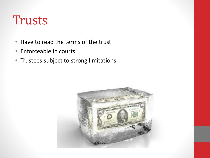### Trusts

- Have to read the terms of the trust
- Enforceable in courts
- Trustees subject to strong limitations

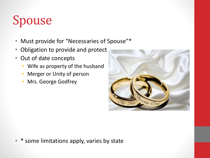# Spouse

- Must provide for "Necessaries of Spouse"\*
- Obligation to provide and protect
- Out of date concepts
	- Wife as property of the husband
	- Merger or Unity of person
	- Mrs. George Godfrey



• \* some limitations apply, varies by state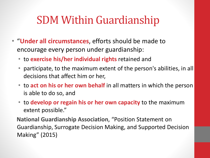### SDM Within Guardianship

- "**Under all circumstances**, efforts should be made to encourage every person under guardianship:
	- to **exercise his/her individual rights** retained and
	- participate, to the maximum extent of the person's abilities, in all decisions that affect him or her,
	- to **act on his or her own behalf** in all matters in which the person is able to do so, and
	- to **develop or regain his or her own capacity** to the maximum extent possible."

**National Guardianship Association**, "Position Statement on Guardianship, Surrogate Decision Making, and Supported Decision Making" (2015)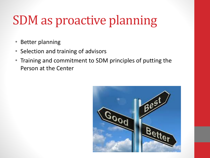# SDM as proactive planning

- Better planning
- Selection and training of advisors
- Training and commitment to SDM principles of putting the Person at the Center

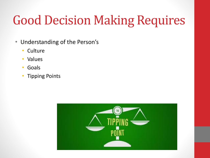# Good Decision Making Requires

- Understanding of the Person's
	- Culture
	- Values
	- Goals
	- Tipping Points

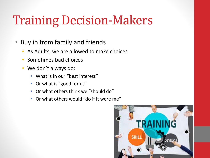# Training Decision-Makers

- Buy in from family and friends
	- As Adults, we are allowed to make choices
	- Sometimes bad choices
	- We don't always do:
		- What is in our "best interest"
		- Or what is "good for us"
		- Or what others think we "should do"
		- Or what others would "do if it were me"

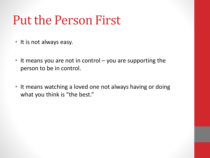## Put the Person First

- It is not always easy.
- It means you are not in control you are supporting the person to be in control.
- It means watching a loved one not always having or doing what you think is "the best."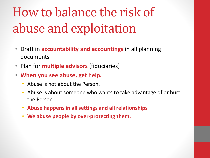# How to balance the risk of abuse and exploitation

- Draft in **accountability and accountings** in all planning documents
- Plan for **multiple advisors** (fiduciaries)
- **When you see abuse, get help.**
	- Abuse is not about the Person.
	- Abuse is about someone who wants to take advantage of or hurt the Person
	- **Abuse happens in all settings and all relationships**
	- **We abuse people by over-protecting them.**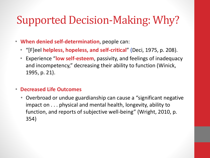### Supported Decision-Making: Why?

- **When denied self-determination**, people can:
	- "[F]eel **helpless, hopeless, and self-critical**" (Deci, 1975, p. 208).
	- Experience "**low self-esteem**, passivity, and feelings of inadequacy and incompetency," decreasing their ability to function (Winick, 1995, p. 21).

### • **Decreased Life Outcomes**

• Overbroad or undue guardianship can cause a "significant negative impact on . . . physical and mental health, longevity, ability to function, and reports of subjective well-being" (Wright, 2010, p. 354)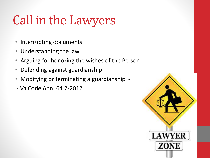# Call in the Lawyers

- Interrupting documents
- Understanding the law
- Arguing for honoring the wishes of the Person
- Defending against guardianship
- Modifying or terminating a guardianship -
- Va Code Ann. 64.2-2012

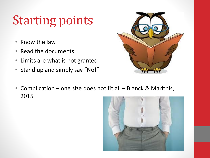# Starting points

- Know the law
- Read the documents
- Limits are what is not granted
- Stand up and simply say "No!"



• Complication – one size does not fit all – Blanck & Maritnis, 2015

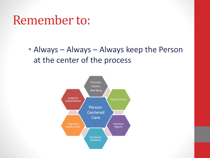### Remember to:

• Always – Always – Always keep the Person at the center of the process